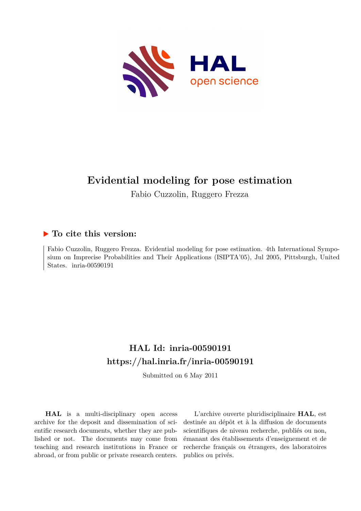

# **Evidential modeling for pose estimation**

Fabio Cuzzolin, Ruggero Frezza

# **To cite this version:**

Fabio Cuzzolin, Ruggero Frezza. Evidential modeling for pose estimation. 4th International Symposium on Imprecise Probabilities and Their Applications (ISIPTA'05), Jul 2005, Pittsburgh, United States. inria-00590191

# **HAL Id: inria-00590191 <https://hal.inria.fr/inria-00590191>**

Submitted on 6 May 2011

**HAL** is a multi-disciplinary open access archive for the deposit and dissemination of scientific research documents, whether they are published or not. The documents may come from teaching and research institutions in France or abroad, or from public or private research centers.

L'archive ouverte pluridisciplinaire **HAL**, est destinée au dépôt et à la diffusion de documents scientifiques de niveau recherche, publiés ou non, émanant des établissements d'enseignement et de recherche français ou étrangers, des laboratoires publics ou privés.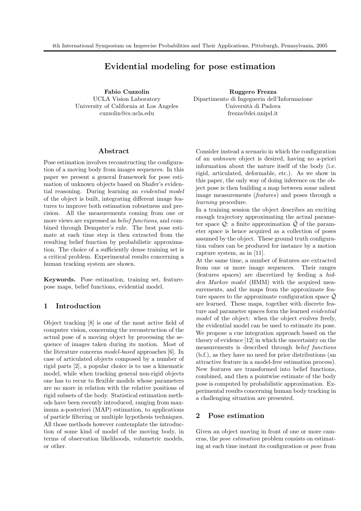# Evidential modeling for pose estimation

Fabio Cuzzolin UCLA Vision Laboratory University of California at Los Angeles cuzzolin@cs.ucla.edu

Ruggero Frezza Dipartimento di Ingegneria dell'Informazione Università di Padova frezza@dei.unipd.it

## Abstract

Pose estimation involves reconstructing the configuration of a moving body from images sequences. In this paper we present a general framework for pose estimation of unknown objects based on Shafer's evidential reasoning. During learning an evidential model of the object is built, integrating different image features to improve both estimation robustness and precision. All the measurements coming from one or more views are expressed as belief functions, and combined through Dempster's rule. The best pose estimate at each time step is then extracted from the resulting belief function by probabilistic approximation. The choice of a sufficiently dense training set is a critical problem. Experimental results concerning a human tracking system are shown.

Keywords. Pose estimation, training set, featurepose maps, belief functions, evidential model.

# 1 Introduction

Object tracking [8] is one of the most active field of computer vision, concerning the reconstruction of the actual pose of a moving object by processing the sequence of images taken during its motion. Most of the literature concerns model-based approaches [6]. In case of articulated objects composed by a number of rigid parts [2], a popular choice is to use a kinematic model, while when tracking general non-rigid objects one has to recur to flexible models whose parameters are no more in relation with the relative positions of rigid subsets of the body. Statistical estimation methods have been recently introduced, ranging from maximum a-posteriori (MAP) estimation, to applications of particle filtering or multiple hypothesis techniques. All those methods however contemplate the introduction of some kind of model of the moving body, in terms of observation likelihoods, volumetric models, or other.

Consider instead a scenario in which the configuration of an unknown object is desired, having no a-priori information about the nature itself of the body (i.e. rigid, articulated, deformable, etc.). As we show in this paper, the only way of doing inference on the object pose is then building a map between some salient image measurements (features) and poses through a learning procedure.

In a training session the object describes an exciting enough trajectory approximating the actual parameter space  $\mathcal{Q}$ : a finite approximation  $\mathcal{Q}$  of the parameter space is hence acquired as a collection of poses assumed by the object. These ground truth configuration values can be produced for instance by a motion capture system, as in [11].

At the same time, a number of features are extracted from one or more image sequences. Their ranges (features spaces) are discretized by feeding a hidden Markov model (HMM) with the acquired measurements, and the maps from the approximate feature spaces to the approximate configuration space  $\mathcal{Q}$ are learned. These maps, together with discrete feature and parameter spaces form the learned evidential model of the object: when the object evolves freely, the evidential model can be used to estimate its pose. We propose a cue integration approach based on the theory of evidence [12] in which the uncertainty on the measurements is described through belief functions (b.f.), as they have no need for prior distributions (an attractive feature in a model-free estimation process). New features are transformed into belief functions, combined, and then a pointwise estimate of the body pose is computed by probabilistic approximation. Experimental results concerning human body tracking in a challenging situation are presented.

# 2 Pose estimation

Given an object moving in front of one or more cameras, the pose estimation problem consists on estimating at each time instant its configuration or pose from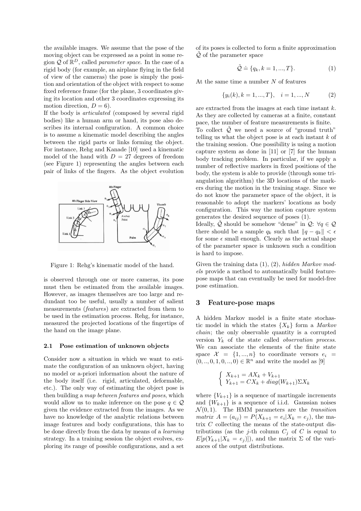the available images. We assume that the pose of the moving object can be expressed as a point in some region  $\mathcal{Q}$  of  $\mathbb{R}^D$ , called *parameter space*. In the case of a rigid body (for example, an airplane flying in the field of view of the cameras) the pose is simply the position and orientation of the object with respect to some fixed reference frame (for the plane, 3 coordinates giving its location and other 3 coordinates expressing its motion direction,  $D = 6$ ).

If the body is articulated (composed by several rigid bodies) like a human arm or hand, its pose also describes its internal configuration. A common choice is to assume a kinematic model describing the angles between the rigid parts or links forming the object. For instance, Rehg and Kanade [10] used a kinematic model of the hand with  $D = 27$  degrees of freedom (see Figure 1) representing the angles between each pair of links of the fingers. As the object evolution



Figure 1: Rehg's kinematic model of the hand.

is observed through one or more cameras, its pose must then be estimated from the available images. However, as images themselves are too large and redundant too be useful, usually a number of salient measurements (features) are extracted from them to be used in the estimation process. Rehg, for instance, measured the projected locations of the fingertips of the hand on the image plane.

#### 2.1 Pose estimation of unknown objects

Consider now a situation in which we want to estimate the configuration of an unknown object, having no model or a-priori information about the nature of the body itself (i.e. rigid, articulated, deformable, etc.). The only way of estimating the object pose is then building a map between features and poses, which would allow us to make inference on the pose  $q \in \mathcal{Q}$ given the evidence extracted from the images. As we have no knowledge of the analytic relations between image features and body configurations, this has to be done directly from the data by means of a learning strategy. In a training session the object evolves, exploring its range of possible configurations, and a set

of its poses is collected to form a finite approximation  $\mathcal Q$  of the parameter space

$$
\tilde{\mathcal{Q}} \doteq \{q_k, k = 1, ..., T\}.
$$
\n(1)

At the same time a number N of features

$$
\{y_i(k), k = 1, ..., T\}, \quad i = 1, ..., N \tag{2}
$$

are extracted from the images at each time instant k. As they are collected by cameras at a finite, constant pace, the number of feature measurements is finite. To collect  $\tilde{Q}$  we need a source of "ground truth" telling us what the object pose is at each instant  $k$  of the training session. One possibility is using a motion capture system as done in [11] or [7] for the human body tracking problem. In particular, if we apply a number of reflective markers in fixed positions of the body, the system is able to provide (through some triangulation algorithm) the 3D locations of the markers during the motion in the training stage. Since we do not know the parameter space of the object, it is reasonable to adopt the markers' locations as body configuration. This way the motion capture system generates the desired sequence of poses (1).

Ideally,  $\tilde{Q}$  should be somehow "dense" in  $Q: \forall q \in Q$ there should be a sample  $q_k$  such that  $||q - q_k|| < \epsilon$ for some  $\epsilon$  small enough. Clearly as the actual shape of the parameter space is unknown such a condition is hard to impose.

Given the training data  $(1), (2),$  hidden Markov models provide a method to automatically build featurepose maps that can eventually be used for model-free pose estimation.

## 3 Feature-pose maps

A hidden Markov model is a finite state stochastic model in which the states  $\{X_k\}$  form a *Markov* chain; the only observable quantity is a corrupted version  $Y_k$  of the state called *observation process.* We can associate the elements of the finite state space  $\mathcal{X} = \{1, ..., n\}$  to coordinate versors  $e_i =$  $(0, ..., 0, 1, 0, ..., 0) \in \mathbb{R}^n$  and write the model as [9]

$$
\begin{cases} X_{k+1} = AX_k + V_{k+1} \\ Y_{k+1} = CX_k + diag(W_{k+1})\Sigma X_k \end{cases}
$$

where  ${V_{k+1}}$  is a sequence of martingale increments and  $\{W_{k+1}\}\$ is a sequence of i.i.d. Gaussian noises  $\mathcal{N}(0, 1)$ . The HMM parameters are the *transition matrix*  $A = (a_{ij}) = P(X_{k+1} = e_i | X_k = e_j)$ , the matrix  $C$  collecting the means of the state-output distributions (as the j-th column  $C_j$  of C is equal to  $E[p(Y_{k+1}|X_k = e_j)])$ , and the matrix  $\Sigma$  of the variances of the output distributions.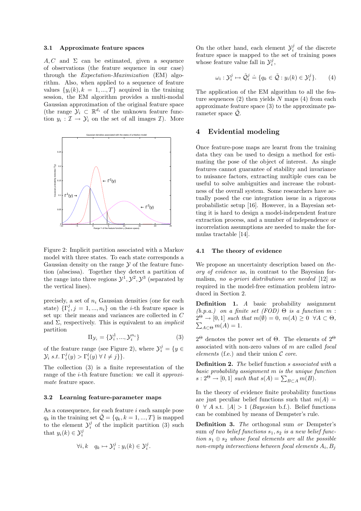#### 3.1 Approximate feature spaces

 $A, C$  and  $\Sigma$  can be estimated, given a sequence of observations (the feature sequence in our case) through the Expectation-Maximization (EM) algorithm. Also, when applied to a sequence of feature values  $\{y_i(k), k = 1, ..., T\}$  acquired in the training session, the EM algorithm provides a multi-modal Gaussian approximation of the original feature space (the range  $\mathcal{Y}_i \subset \mathbb{R}^{d_i}$  of the unknown feature function  $y_i: \mathcal{I} \to \mathcal{Y}_i$  on the set of all images  $\mathcal{I}$ ). More



Figure 2: Implicit partition associated with a Markov model with three states. To each state corresponds a Gaussian density on the range  $\mathcal Y$  of the feature function (abscissa). Together they detect a partition of the range into three regions  $\mathcal{Y}^1, \mathcal{Y}^2, \mathcal{Y}^3$  (separated by the vertical lines).

precisely, a set of  $n_i$  Gaussian densities (one for each state)  $\{\Gamma_i^j, j = 1, ..., n_i\}$  on the *i*-th feature space is set up: their means and variances are collected in C and  $\Sigma$ , respectively. This is equivalent to an *implicit* partition

$$
\Pi_{\mathcal{Y}_i} = \{ \mathcal{Y}_i^1, \dots, \mathcal{Y}_i^{n_i} \}
$$
\n
$$
\tag{3}
$$

of the feature range (see Figure 2), where  $\mathcal{Y}_i^j = \{y \in$  $\mathcal{Y}_i$  s.t.  $\Gamma_i^j(y) > \Gamma_i^l(y) \ \forall \ l \neq j$  }.

The collection (3) is a finite representation of the range of the *i*-th feature function: we call it *approxi*mate feature space.

# 3.2 Learning feature-parameter maps

As a consequence, for each feature *i* each sample pose  $q_k$  in the training set  $\tilde{Q} = \{q_k, k = 1, ..., T\}$  is mapped to the element  $\mathcal{Y}_i^j$  of the implicit partition (3) such that  $y_i(k) \in \mathcal{Y}_i^j$ 

$$
\forall i, k \quad q_k \mapsto \mathcal{Y}_i^j : y_i(k) \in \mathcal{Y}_i^j.
$$

On the other hand, each element  $\mathcal{Y}_i^j$  of the discrete feature space is mapped to the set of training poses whose feature value fall in  $\mathcal{Y}_i^j$ ,

$$
\omega_i : \mathcal{Y}_i^j \mapsto \tilde{\mathcal{Q}}_i^j \doteq \{ q_k \in \tilde{\mathcal{Q}} : y_i(k) \in \mathcal{Y}_i^j \}. \tag{4}
$$

The application of the EM algorithm to all the feature sequences  $(2)$  then yields N maps  $(4)$  from each approximate feature space (3) to the approximate parameter space  $Q$ .

# 4 Evidential modeling

Once feature-pose maps are learnt from the training data they can be used to design a method for estimating the pose of the object of interest. As single features cannot guarantee of stability and invariance to nuisance factors, extracting multiple cues can be useful to solve ambiguities and increase the robustness of the overall system. Some researchers have actually posed the cue integration issue in a rigorous probabilistic setup [16]. However, in a Bayesian setting it is hard to design a model-independent feature extraction process, and a number of independence or incorrelation assumptions are needed to make the formulas tractable [14].

#### 4.1 The theory of evidence

We propose an uncertainty description based on theory of evidence as, in contrast to the Bayesian formalism, no a-priori distributions are needed [12] as required in the model-free estimation problem introduced in Section 2.

Definition 1. A basic probability assignment  $(b.p.a.)$  on a finite set  $(FOD) \Theta$  is a function m:  $2^{\Theta} \to [0,1]$  such that  $m(\emptyset) = 0$ ,  $m(A) \geq 0 \ \forall A \subset \Theta$ ,  $\sum_{A \subset \Theta} m(A) = 1.$ 

 $2^{\Theta}$  denotes the power set of  $\Theta$ . The elements of  $2^{\Theta}$ associated with non-zero values of  $m$  are called  $focal$ elements (f.e.) and their union  $\mathcal C$  core.

**Definition 2.** The belief function  $s$  associated with a basic probability assignment m is the unique function  $s: 2^{\Theta} \to [0, 1]$  such that  $s(A) = \sum_{B \subset A} m(B)$ .

In the theory of evidence finite probability functions are just peculiar belief functions such that  $m(A) =$  $0 \forall A$  s.t.  $|A| > 1$  (*Bayesian* b.f.). Belief functions can be combined by means of Dempster's rule.

Definition 3. The orthogonal sum or Dempster's sum of two belief functions  $s_1, s_2$  is a new belief function  $s_1 \oplus s_2$  whose focal elements are all the possible  $\emph{non-empty intersections between focal elements } A_i,B_j$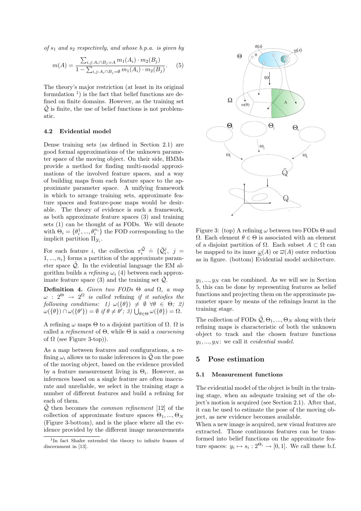of  $s_1$  and  $s_2$  respectively, and whose b.p.a. is given by

$$
m(A) = \frac{\sum_{i,j:A_i \cap B_j = A} m_1(A_i) \cdot m_2(B_j)}{1 - \sum_{i,j:A_i \cap B_j = \emptyset} m_1(A_i) \cdot m_2(B_j)}.
$$
 (5)

The theory's major restriction (at least in its original formulation  $\frac{1}{1}$  is the fact that belief functions are defined on finite domains. However, as the training set  $\tilde{Q}$  is finite, the use of belief functions is not problematic.

#### 4.2 Evidential model

Dense training sets (as defined in Section 2.1) are good formal approximations of the unknown parameter space of the moving object. On their side, HMMs provide a method for finding multi-modal approximations of the involved feature spaces, and a way of building maps from each feature space to the approximate parameter space. A unifying framework in which to arrange training sets, approximate feature spaces and feature-pose maps would be desirable. The theory of evidence is such a framework, as both approximate feature spaces (3) and training sets (1) can be thought of as FODs. We will denote with  $\Theta_i = \{ \theta_i^1, ..., \theta_i^{n_i} \}$  the FOD corresponding to the implicit partition  $\Pi_{\mathcal{Y}_i}$ .

For each feature *i*, the collection  $\pi_i^{\tilde{Q}} \doteq \{ \tilde{Q}_i^j, j =$  $1, \ldots, n_i$  forms a partition of the approximate parameter space  $\tilde{Q}$ . In the evidential language the EM algorithm builds a refining  $\omega_i$  (4) between each approximate feature space  $(3)$  and the training set  $\mathcal{Q}$ .

Definition 4. Given two FODs  $\Theta$  and  $\Omega$ , a map  $\omega$  :  $2^{\Theta}$   $\rightarrow$   $2^{\Omega}$  is called refining if it satisfies the following conditions: 1)  $\omega(\{\theta\}) \neq \emptyset \ \forall \theta \in \Theta;$  2)  $\omega(\{\theta\}) \cap \omega(\{\theta'\}) = \emptyset \text{ if } \theta \neq \theta'; \exists \text{ and } \bigcup_{\theta \in \Theta} \omega(\{\theta\}) = \Omega.$ 

A refining  $\omega$  maps  $\Theta$  to a disjoint partition of  $\Omega$ .  $\Omega$  is called a refinement of  $\Theta$ , while  $\Theta$  is said a *coarsening* of  $\Omega$  (see Figure 3-top)).

As a map between features and configurations, a refining  $\omega_i$  allows us to make inferences in  $\tilde{Q}$  on the pose of the moving object, based on the evidence provided by a feature measurement living in  $\Theta_i$ . However, as inferences based on a single feature are often inaccurate and unreliable, we select in the training stage a number of different features and build a refining for each of them.

 $\mathcal{Q}$  then becomes the *common refinement* [12] of the collection of approximate feature spaces  $\Theta_1, ..., \Theta_N$ (Figure 3-bottom), and is the place where all the evidence provided by the different image measurements



Figure 3: (top) A refining  $\omega$  between two FODs  $\Theta$  and Ω. Each element  $θ ∈ Θ$  is associated with an element of a disjoint partition of  $\Omega$ . Each subset  $A \subset \Omega$  can be mapped to its inner  $\omega(A)$  or  $\overline{\omega}(A)$  outer reduction as in figure. (bottom) Evidential model architecture.

 $y_1, \ldots, y_N$  can be combined. As we will see in Section 5, this can be done by representing features as belief functions and projecting them on the approximate parameter space by means of the refinings learnt in the training stage.

The collection of FODs  $\tilde{Q}, \Theta_1, ..., \Theta_N$  along with their refining maps is characteristic of both the unknown object to track and the chosen feature functions  $y_1, \ldots, y_N$ : we call it *evidential model*.

# 5 Pose estimation

#### 5.1 Measurement functions

The evidential model of the object is built in the training stage, when an adequate training set of the object's motion is acquired (see Section 2.1). After that, it can be used to estimate the pose of the moving object, as new evidence becomes available.

When a new image is acquired, new visual features are extracted. Those continuous features can be transformed into belief functions on the approximate feature spaces:  $y_i \mapsto s_i : 2^{\Theta_i} \to [0,1]$ . We call these b.f.

<sup>1</sup> In fact Shafer extended the theory to infinite frames of discernment in [13].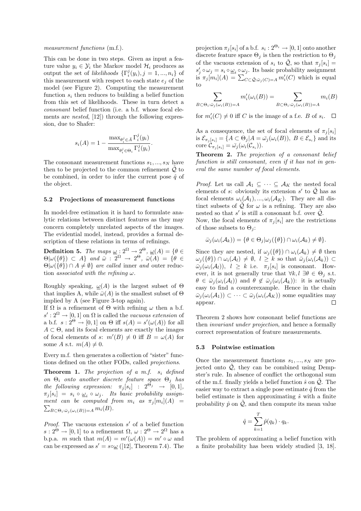#### measurement functions  $(m.f.).$

This can be done in two steps. Given as input a feature value  $y_i \in \mathcal{Y}_i$  the Markov model  $\mathcal{H}_i$  produces as output the set of likelihoods  $\{\Gamma_i^j(y_i), j = 1, ..., n_i\}$  of this measurement with respect to each state  $e_i$  of the model (see Figure 2). Computing the measurement function  $s_i$  then reduces to building a belief function from this set of likelihoods. These in turn detect a consonant belief function (i.e. a b.f. whose focal elements are nested, [12]) through the following expression, due to Shafer:

$$
s_i(A) = 1 - \frac{\max_{\theta_i^j \in \overline{A}} \Gamma_i^j(y_i)}{\max_{\theta_i^j \in \Theta_i} \Gamma_i^j(y_i)}.
$$

The consonant measurement functions  $s_1, ..., s_N$  have then to be projected to the common refinement  $\tilde{Q}$  to be combined, in order to infer the current pose  $\hat{q}$  of the object.

#### 5.2 Projections of measurement functions

In model-free estimation it is hard to formulate analytic relations between distinct features as they may concern completely unrelated aspects of the images. The evidential model, instead, provides a formal description of these relations in terms of refinings.

**Definition 5.** The maps  $\underline{\omega}: 2^{\Omega} \to 2^{\Theta}, \underline{\omega}(A) = \{ \theta \in \Omega \}$  $\Theta|\omega(\{\theta\})\subset A\}$  and  $\bar{\omega}: 2^{\Omega} \to 2^{\Theta}, \bar{\omega}(A) = \{\theta \in \Theta\}$  $\Theta|\omega({\theta}) \cap A \neq \emptyset$  are called inner and outer reduction *associated with the refining*  $\omega$ .

Roughly speaking,  $\omega(A)$  is the largest subset of  $\Theta$ that implies A, while  $\bar{\omega}(A)$  is the smallest subset of  $\Theta$ implied by A (see Figure 3-top again).

If  $\Omega$  is a refinement of  $\Theta$  with refining  $\omega$  then a b.f.  $s': 2^{\Omega} \to [0, 1]$  on  $\Omega$  is called the vacuous extension of a b.f.  $s: 2^{\Theta} \to [0, 1]$  on  $\Theta$  iff  $s(A) = s'(\omega(A))$  for all  $A \subset \Theta$ , and its focal elements are exactly the images of focal elements of s:  $m'(B) \neq 0$  iff  $B = \omega(A)$  for some A s.t.  $m(A) \neq 0$ .

Every m.f. then generates a collection of "sister" functions defined on the other FODs, called projections.

**Theorem 1.** The projection of a m.f.  $s_i$  defined on  $\Theta_i$  onto another discrete feature space  $\Theta_j$  has the following expression:  $\pi_j[s_i]$  :  $2^{\Theta_j} \rightarrow [0,1],$  $\pi_j[s_i] = s_i \circ \underline{\omega}_i \circ \omega_j$ . Its basic probability assignment can be computed from  $m_i$  as  $\pi_j[m_i](A) =$  $\sum_{B \subset \Theta_i : \bar{\omega}_j(\omega_i(B)) = A} m_i(B).$ 

*Proof.* The vacuous extension  $s'$  of a belief function  $s: 2^{\Theta} \to [0,1]$  to a refinement  $\Omega, \omega: 2^{\Theta} \to 2^{\Omega}$  has a b.p.a. m such that  $m(A) = m'(\omega(A)) = m' \circ \omega$  and can be expressed as  $s' = s \circ \omega$  ([12], Theorem 7.4). The projection  $\pi_j[s_i]$  of a b.f.  $s_i: 2^{\Theta_i} \to [0,1]$  onto another discrete feature space  $\Theta_j$  is then the restriction to  $\Theta_j$ of the vacuous extension of  $s_i$  to  $\tilde{Q}$ , so that  $\pi_j[s_i] =$  $s'_j \circ \omega_j = s_i \circ \underline{\omega}_i \circ \omega_j$ . Its basic probability assignment is  $\pi_j[m_i](A) = \sum_{C \subset \tilde{Q} : \bar{\omega}_j(C)=A} m'_i(C)$  which is equal to

$$
\sum_{B \subset \Theta_i : \bar{\omega}_j(\omega_i(B)) = A} m'_i(\omega_i(B)) = \sum_{B \subset \Theta_i : \bar{\omega}_j(\omega_i(B)) = A} m_i(B)
$$

for  $m'_{i}(C) \neq 0$  iff C is the image of a f.e. B of  $s_{i}$ .

As a consequence, the set of focal elements of  $\pi_j[s_i]$ is  $\mathcal{E}_{\pi_j[s_i]} = \{ A \subset \Theta_j | A = \bar{\omega_j}(\omega_i(B)), \ B \in \mathcal{E}_{s_i} \}$  and its core  $\mathcal{C}_{\pi_j[s_i]} = \bar{\omega}_j(\omega_i(\mathcal{C}_{s_i})).$ 

Theorem 2. The projection of a consonant belief function is still consonant, even if it has not in general the same number of focal elements.

*Proof.* Let us call  $A_1 \subseteq \cdots \subseteq A_K$  the nested focal elements of s: obviously its extension s' to  $\tilde{Q}$  has as focal elements  $\omega_i(A_1),...,\omega_i(A_k)$ . They are all distinct subsets of  $\mathcal Q$  for  $\omega$  is a refining. They are also nested so that  $s'$  is still a consonant b.f. over  $\tilde{Q}$ .

Now, the focal elements of  $\pi_j[s_i]$  are the restrictions of those subsets to  $\Theta_i$ :

$$
\bar{\omega}_j(\omega_i(\mathcal{A}_k)) = \{ \theta \in \Theta_j | \omega_j(\{\theta\}) \cap \omega_i(\mathcal{A}_k) \neq \emptyset \}.
$$

Since they are nested, if  $\omega_i(\{\theta\}) \cap \omega_i(\mathcal{A}_k) \neq \emptyset$  then  $\omega_j(\{\theta\}) \cap \omega_i(\mathcal{A}_l) \neq \emptyset$ ,  $l \geq k$  so that  $\bar{\omega}_j(\omega_i(\mathcal{A}_k)) \subset$  $\bar{\omega}_j(\omega_i(\mathcal{A}_l)), l \geq k$  i.e.  $\pi_j[s_i]$  is consonant. However, it is not generally true that  $\forall k, l \exists \theta \in \Theta_i$  s.t.  $\theta \in \bar{\omega}_i(\omega_i(\mathcal{A}_l))$  and  $\theta \notin \bar{\omega}_i(\omega_i(\mathcal{A}_k))$ : it is actually easy to find a counterexample. Hence in the chain  $\bar{\omega}_j(\omega_i(\mathcal{A}_1)) \subset \cdots \subset \bar{\omega}_j(\omega_i(\mathcal{A}_K))$  some equalities may appear.  $\Box$ 

Theorem 2 shows how consonant belief functions are then invariant under projection, and hence a formally correct representation of feature measurements.

#### 5.3 Pointwise estimation

Once the measurement functions  $s_1, ..., s_N$  are projected onto  $Q$ , they can be combined using Dempster's rule. In absence of conflict the orthogonal sum of the m.f. finally yields a belief function  $\hat{s}$  on  $\hat{Q}$ . The easier way to extract a single pose estimate  $\hat{q}$  from the belief estimate is then approximating  $\hat{s}$  with a finite probability  $\hat{p}$  on  $\tilde{Q}$ , and then compute its mean value

$$
\hat{q} = \sum_{k=1}^{T} \hat{p}(q_k) \cdot q_k.
$$

The problem of approximating a belief function with a finite probability has been widely studied [3, 18].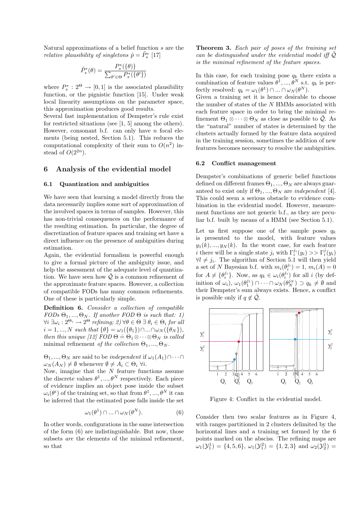Natural approximations of a belief function s are the relative plausibility of singletons  $\hat{p} = \tilde{P}_s^*$  [17]

$$
\tilde{P}^*_s(\theta) = \frac{P^*_s(\{\theta)\}}{\sum_{\theta' \in \Theta} P^*_s(\{\theta'\})}
$$

where  $P_s^* : 2^{\Theta} \to [0, 1]$  is the associated plausibility function, or the pignistic function [15]. Under weak local linearity assumptions on the parameter space, this approximation produces good results.

Several fast implementation of Dempster's rule exist for restricted situations (see [1, 5] among the others). However, consonant b.f. can only have  $n$  focal elements (being nested, Section 5.1). This reduces the computational complexity of their sum to  $O(n^2)$  instead of  $O(2^{2n})$ .

## 6 Analysis of the evidential model

#### 6.1 Quantization and ambiguities

We have seen that learning a model directly from the data necessarily implies some sort of approximation of the involved spaces in terms of samples. However, this has non-trivial consequences on the performance of the resulting estimation. In particular, the degree of discretization of feature spaces and training set have a direct influence on the presence of ambiguities during estimation.

Again, the evidential formalism is powerful enough to give a formal picture of the ambiguity issue, and help the assessment of the adequate level of quantization. We have seen how  $\mathcal{Q}$  is a common refinement of the approximate feature spaces. However, a collection of compatible FODs has many common refinements. One of these is particularly simple.

Definition 6. Consider a collection of compatible  $FODs \Theta_1, ..., \Theta_N$ . If another  $FOD \Theta$  is such that: 1)  $\forall i \ \exists \omega_i : 2^{\Theta_i} \rightarrow 2^{\Theta}$  refining;  $2)$   $\forall \theta \in \Theta \ \exists \ \theta_i \in \Theta_i$  for all  $i = 1, ..., N$  such that  $\{\theta\} = \omega_1(\{\theta_1\}) \cap ... \cap \omega_N(\{\theta_N\}),$ then this unique [12]  $FOD \Theta = \Theta_1 \otimes \cdots \otimes \Theta_N$  is called minimal refinement of the collection  $\Theta_1, ..., \Theta_N$ .

 $\Theta_1, ..., \Theta_N$  are said to be *independent* if  $\omega_1(A_1) \cap \cdots \cap$  $\omega_N(A_N) \neq \emptyset$  whenever  $\emptyset \neq A_i \subset \Theta_i \ \forall i$ .

Now, imagine that the  $N$  feature functions assume the discrete values  $\theta^1, ..., \theta^N$  respectively. Each piece of evidence implies an object pose inside the subset  $\omega_i(\theta^i)$  of the training set, so that from  $\theta^1, ..., \theta^N$  it can be inferred that the estimated pose falls inside the set

$$
\omega_1(\theta^1) \cap \dots \cap \omega_N(\theta^N). \tag{6}
$$

In other words, configurations in the same intersection of the form (6) are indistinguishable. But now, those subsets are the elements of the minimal refinement, so that

Theorem 3. Each pair of poses of the training set can be distinguished under the evidential model iff  $\tilde{Q}$ is the minimal refinement of the feature spaces.

In this case, for each training pose  $q_k$  there exists a combination of feature values  $\theta^1, ..., \theta^N$  s.t.  $q_k$  is perfectly resolved:  $q_k = \omega_1(\theta^1) \cap ... \cap \omega_N(\theta^N)$ .

Given a training set it is hence desirable to choose the number of states of the  $N$  HMMs associated with  $\,$ each feature space in order to bring the minimal refinement  $\Theta_1 \otimes \cdots \otimes \Theta_N$  as close as possible to  $\mathcal{Q}$ . As the "natural" number of states is determined by the clusters actually formed by the feature data acquired in the training session, sometimes the addition of new features becomes necessary to resolve the ambiguities.

#### 6.2 Conflict management

Dempster's combinations of generic belief functions defined on different frames  $\Theta_1, ..., \Theta_N$  are always guaranteed to exist only if  $\Theta_1, ..., \Theta_N$  are *independent* [4]. This could seem a serious obstacle to evidence combination in the evidential model. However, measurement functions are not generic b.f., as they are peculiar b.f. built by means of a HMM (see Section 5.1).

Let us first suppose one of the sample poses  $q_k$ is presented to the model, with feature values  $y_1(k), ..., y_N(k)$ . In the worst case, for each feature *i* there will be a single state  $j_i$  with  $\Gamma_i^{j_i}(y_i) >> \Gamma_i^j(y_i)$  $\forall l \neq j_i$ . The algorithm of Section 5.1 will then yield a set of N Bayesian b.f. with  $m_i(\theta_i^{j_i}) = 1, m_i(A) = 0$ for  $A \neq \{\theta_i^{j_i}\}\$ . Now, as  $q_k \in \omega_i(\theta_i^{j_i})$  for all i (by definition of  $\omega_i$ ),  $\omega_1(\theta_1^{j_1}) \cap \cdots \cap \omega_N(\theta_N^{j_N}) \supset q_k \neq \emptyset$  and their Dempster's sum always exists. Hence, a conflict is possible only if  $q \notin \mathcal{Q}$ .



Figure 4: Conflict in the evidential model.

Consider then two scalar features as in Figure 4, with ranges partitioned in 2 clusters delimited by the horizontal lines and a training set formed by the 6 points marked on the absciss. The refining maps are  $\omega_1(\mathcal{Y}_1^1) = \{4, 5, 6\}, \ \omega_1(\mathcal{Y}_1^2) = \{1, 2, 3\} \text{ and } \omega_2(\mathcal{Y}_2^1) =$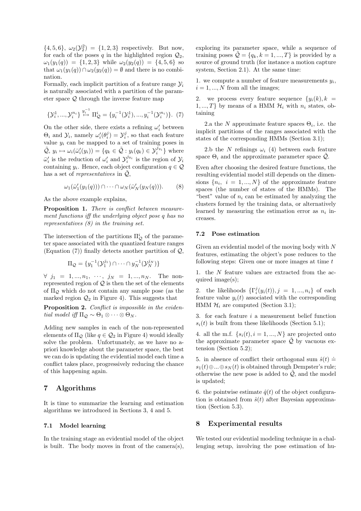$\{4, 5, 6\}, \ \omega_2(\mathcal{Y}_2^2) = \{1, 2, 3\}$  respectively. But now, for each of the poses q in the highlighted region  $\mathcal{Q}_2$ ,  $\omega_1(y_1(q)) = \{1, 2, 3\}$  while  $\omega_2(y_2(q)) = \{4, 5, 6\}$  so that  $\omega_1(y_1(q)) \cap \omega_2(y_2(q)) = \emptyset$  and there is no combination.

Formally, each implicit partition of a feature range  $\mathcal{Y}_i$ is naturally associated with a partition of the parameter space Q through the inverse feature map

$$
\{\mathcal{Y}_i^1, ..., \mathcal{Y}_i^{n_i}\} \stackrel{y_i^{-1}}{\mapsto} \Pi_{\mathcal{Q}}^i = \{y_i^{-1}(\mathcal{Y}_i^1), ..., y_i^{-1}(\mathcal{Y}_i^{n_i})\}.
$$
 (7)

On the other side, there exists a refining  $\omega_i'$  between  $\Theta_i$  and  $\mathcal{Y}_i$ , namely  $\omega'_i(\theta_i^j) = \mathcal{Y}_i^j$ , so that each feature value  $y_i$  can be mapped to a set of training poses in  $\tilde{Q}, y_i \mapsto \omega_i(\bar{\omega}_i'(y_i)) = \{q_k \in \tilde{Q} : y_i(q_k) \in \mathcal{Y}_i^{j_{y_i}}\}$  where  $\bar{\omega}'_i$  is the reduction of  $\omega'_i$  and  $\mathcal{Y}_i^{j_{y_i}}$  is the region of  $\mathcal{Y}_i$ containing  $y_i$ . Hence, each object configuration  $q \in \mathcal{Q}$ has a set of *representatives* in  $\tilde{Q}$ ,

$$
\omega_1(\bar{\omega}'_1(y_1(q))) \cap \cdots \cap \omega_N(\bar{\omega}'_N(y_N(q))). \qquad (8)
$$

As the above example explains,

Proposition 1. There is conflict between measurement functions iff the underlying object pose q has no representatives (8) in the training set.

The intersection of the partitions  $\Pi_{\mathcal{Q}}^{i}$  of the parameter space associated with the quantized feature ranges (Equation  $(7)$ ) finally detects another partition of  $\mathcal{Q}$ ,

$$
\Pi_{\mathcal{Q}} = \{y_1^{-1}(\mathcal{Y}_1^{j_1}) \cap \cdots \cap y_N^{-1}(\mathcal{Y}_N^{j_N})\}
$$

 $\forall j_1 = 1, ..., n_1, ..., j_N = 1, ..., n_N$ . The nonrepresented region of  $Q$  is then the set of the elements of  $\Pi_{\mathcal{Q}}$  which do not contain any sample pose (as the marked region  $\mathcal{Q}_2$  in Figure 4). This suggests that

Proposition 2. Conflict is impossible in the evidential model iff  $\Pi_{\mathcal{Q}} \sim \Theta_1 \otimes \cdots \otimes \Theta_N$ .

Adding new samples in each of the non-represented elements of  $\Pi_{\mathcal{Q}}$  (like  $q \in \mathcal{Q}_2$  in Figure 4) would ideally solve the problem. Unfortunately, as we have no apriori knowledge about the parameter space, the best we can do is updating the evidential model each time a conflict takes place, progressively reducing the chance of this happening again.

# 7 Algorithms

It is time to summarize the learning and estimation algorithms we introduced in Sections 3, 4 and 5.

#### 7.1 Model learning

In the training stage an evidential model of the object is built. The body moves in front of the camera(s),

exploring its parameter space, while a sequence of training poses  $\tilde{Q} = \{q_k, k = 1, ..., T\}$  is provided by a source of ground truth (for instance a motion capture system, Section 2.1). At the same time:

1. we compute a number of feature measurements  $y_i$ ,  $i = 1, ..., N$  from all the images;

2. we process every feature sequence  $\{y_i(k), k =$  $1, ..., T$ } by means of a HMM  $\mathcal{H}_i$  with  $n_i$  states, obtaining

2.a the N approximate feature spaces  $\Theta_i$ , i.e. the implicit partitions of the ranges associated with the states of the corresponding HMMs (Section 3.1);

2.b the N refinings  $\omega_i$  (4) between each feature space  $\Theta_i$  and the approximate parameter space  $\tilde{Q}$ .

Even after choosing the desired feature functions, the resulting evidential model still depends on the dimensions  ${n_i, i = 1, ..., N}$  of the approximate feature spaces (the number of states of the HMMs). The "best" value of  $n_i$  can be estimated by analyzing the clusters formed by the training data, or alternatively learned by measuring the estimation error as  $n_i$  increases.

#### 7.2 Pose estimation

Given an evidential model of the moving body with N features, estimating the object's pose reduces to the following steps: Given one or more images at time  $t$ 

1. the N feature values are extracted from the acquired image(s);

2. the likelihoods  $\{\Gamma_i^j(y_i(t)), j = 1, ..., n_i\}$  of each feature value  $y_i(t)$  associated with the corresponding HMM  $\mathcal{H}_i$  are computed (Section 3.1);

3. for each feature i a measurement belief function  $s_i(t)$  is built from these likelihoods (Section 5.1);

4. all the m.f.  $\{s_i(t), i = 1, ..., N\}$  are projected onto the approximate parameter space  $\tilde{Q}$  by vacuous extension (Section 5.2);

5. in absence of conflict their orthogonal sum  $\hat{s}(t) \doteq$  $s_1(t) \oplus ... \oplus s_N(t)$  is obtained through Dempster's rule; otherwise the new pose is added to  $\tilde{Q}$ , and the model is updated;

6. the pointwise estimate  $\hat{q}(t)$  of the object configuration is obtained from  $\hat{s}(t)$  after Bayesian approximation (Section 5.3).

# 8 Experimental results

We tested our evidential modeling technique in a challenging setup, involving the pose estimation of hu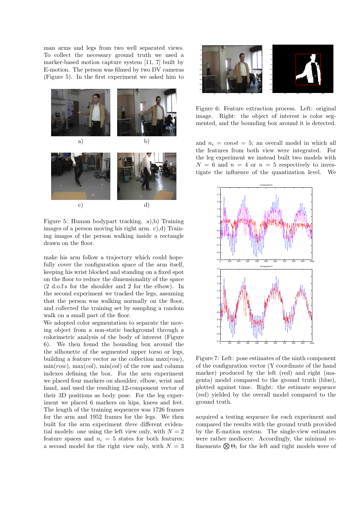man arms and legs from two well separated views. To collect the necessary ground truth we used a marker-based motion capture system [11, 7] built by E-motion. The person was filmed by two DV cameras (Figure 5). In the first experiment we asked him to



Figure 5: Human bodypart tracking. a),b) Training images of a person moving his right arm. c),d) Training images of the person walking inside a rectangle drawn on the floor.

make his arm follow a trajectory which could hopefully cover the configuration space of the arm itself, keeping his wrist blocked and standing on a fixed spot on the floor to reduce the dimensionality of the space (2 d.o.f.s for the shoulder and 2 for the elbow). In the second experiment we tracked the legs, assuming that the person was walking normally on the floor, and collected the training set by sampling a random walk on a small part of the floor.

We adopted color segmentation to separate the moving object from a non-static background through a colorimetric analysis of the body of interest (Figure 6). We then found the bounding box around the the silhouette of the segmented upper torso or legs, building a feature vector as the collection  $\max(row)$ ,  $\min(row)$ ,  $\max(cd)$ ,  $\min(cd)$  of the row and column indexes defining the box. For the arm experiment we placed four markers on shoulder, elbow, wrist and hand, and used the resulting 12-component vector of their 3D positions as body pose. For the leg experiment we placed 6 markers on hips, knees and feet. The length of the training sequences was 1726 frames for the arm and 1952 frames for the legs. We then built for the arm experiment three different evidential models: one using the left view only, with  $N = 2$ feature spaces and  $n_i = 5$  states for both features; a second model for the right view only, with  $N = 3$ 



Figure 6: Feature extraction process. Left: original image. Right: the object of interest is color segmented, and the bounding box around it is detected.

and  $n_i = const = 5$ ; an overall model in which all the features from both view were integrated. For the leg experiment we instead built two models with  $N = 6$  and  $n = 4$  or  $n = 5$  respectively to investigate the influence of the quantization level. We



Figure 7: Left: pose estimates of the ninth component of the configuration vector (Y coordinate of the hand marker) produced by the left (red) and right (magenta) model compared to the ground truth (blue), plotted against time. Right: the estimate sequence (red) yielded by the overall model compared to the ground truth.

acquired a testing sequence for each experiment and compared the results with the ground truth provided by the E-motion system. The single-view estimates were rather mediocre. Accordingly, the minimal refinements  $\bigotimes \Theta_i$  for the left and right models were of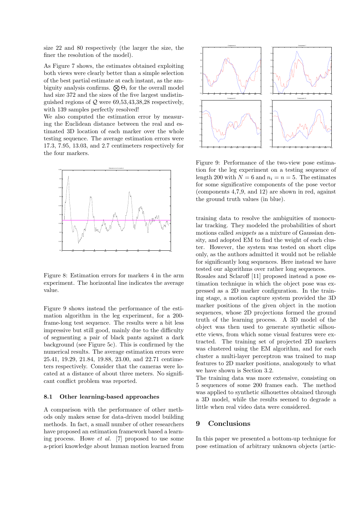size 22 and 80 respectively (the larger the size, the finer the resolution of the model).

As Figure 7 shows, the estimates obtained exploiting both views were clearly better than a simple selection of the best partial estimate at each instant, as the ambiguity analysis confirms.  $\bigotimes \Theta_i$  for the overall model had size 372 and the sizes of the five largest undistinguished regions of  $Q$  were 69,53,43,38,28 respectively, with 139 samples perfectly resolved!

We also computed the estimation error by measuring the Euclidean distance between the real and estimated 3D location of each marker over the whole testing sequence. The average estimation errors were 17.3, 7.95, 13.03, and 2.7 centimeters respectively for the four markers.



Figure 8: Estimation errors for markers 4 in the arm experiment. The horizontal line indicates the average value.

Figure 9 shows instead the performance of the estimation algorithm in the leg experiment, for a 200 frame-long test sequence. The results were a bit less impressive but still good, mainly due to the difficulty of segmenting a pair of black pants against a dark background (see Figure 5c). This is confirmed by the numerical results. The average estimation errors were 25.41, 19.29, 21.84, 19.88, 23.00, and 22.71 centimeters respectively. Consider that the cameras were located at a distance of about three meters. No significant conflict problem was reported.

#### 8.1 Other learning-based approaches

A comparison with the performance of other methods only makes sense for data-driven model building methods. In fact, a small number of other researchers have proposed an estimation framework based a learning process. Howe et al. [7] proposed to use some a-priori knowledge about human motion learned from



Figure 9: Performance of the two-view pose estimation for the leg experiment on a testing sequence of length 200 with  $N = 6$  and  $n_i = n = 5$ . The estimates for some significative components of the pose vector (components 4,7,9, and 12) are shown in red, against the ground truth values (in blue).

training data to resolve the ambiguities of monocular tracking. They modeled the probabilities of short motions called *snippets* as a mixture of Gaussian density, and adopted EM to find the weight of each cluster. However, the system was tested on short clips only, as the authors admitted it would not be reliable for significantly long sequences. Here instead we have tested our algorithms over rather long sequences.

Rosales and Sclaroff [11] proposed instead a pose estimation technique in which the object pose was expressed as a 2D marker configuration. In the training stage, a motion capture system provided the 3D marker positions of the given object in the motion sequences, whose 2D projections formed the ground truth of the learning process. A 3D model of the object was then used to generate synthetic silhouette views, from which some visual features were extracted. The training set of projected 2D markers was clustered using the EM algorithm, and for each cluster a multi-layer perceptron was trained to map features to 2D marker positions, analogously to what we have shown is Section 3.2.

The training data was more extensive, consisting on 5 sequences of some 200 frames each. The method was applied to synthetic silhouettes obtained through a 3D model, while the results seemed to degrade a little when real video data were considered.

#### 9 Conclusions

In this paper we presented a bottom-up technique for pose estimation of arbitrary unknown objects (artic